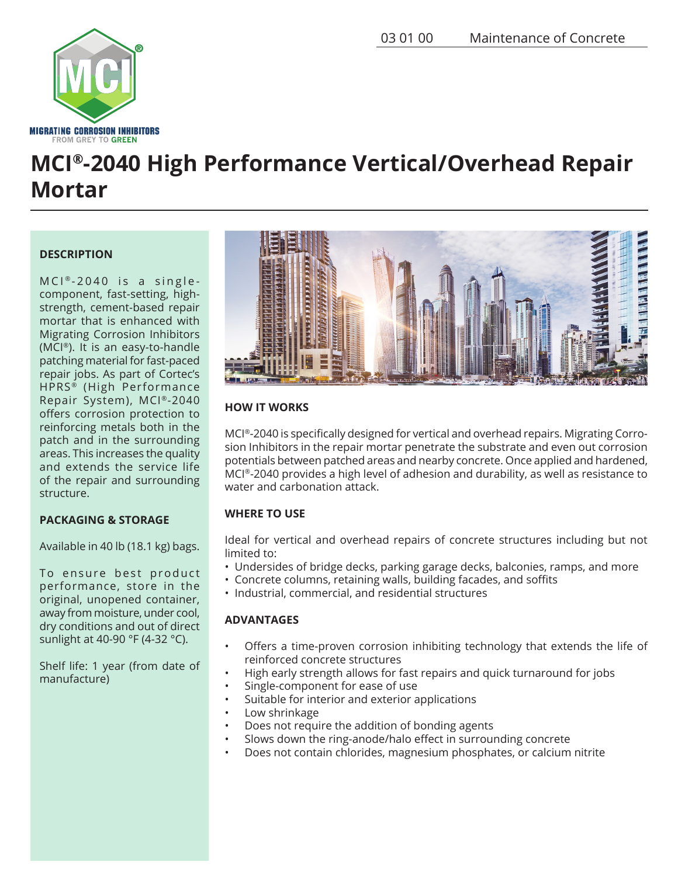

# **MCI®-2040 High Performance Vertical/Overhead Repair Mortar**

# **DESCRIPTION**

 $MCI<sup>®</sup> - 2040$  is a singlecomponent, fast-setting, highstrength, cement-based repair mortar that is enhanced with Migrating Corrosion Inhibitors (MCI®). It is an easy-to-handle patching material for fast-paced repair jobs. As part of Cortec's HPRS<sup>®</sup> (High Performance Repair System), MCI®-2040 offers corrosion protection to reinforcing metals both in the patch and in the surrounding areas. This increases the quality and extends the service life of the repair and surrounding structure.

# **PACKAGING & STORAGE**

Available in 40 lb (18.1 kg) bags.

To ensure best product performance, store in the original, unopened container, away from moisture, under cool, dry conditions and out of direct sunlight at 40-90 °F (4-32 °C).

Shelf life: 1 year (from date of manufacture)



# **HOW IT WORKS**

MCI®-2040 is specifically designed for vertical and overhead repairs. Migrating Corrosion Inhibitors in the repair mortar penetrate the substrate and even out corrosion potentials between patched areas and nearby concrete. Once applied and hardened, MCI®-2040 provides a high level of adhesion and durability, as well as resistance to water and carbonation attack.

# **WHERE TO USE**

Ideal for vertical and overhead repairs of concrete structures including but not limited to:

- Undersides of bridge decks, parking garage decks, balconies, ramps, and more
- Concrete columns, retaining walls, building facades, and soffits
- Industrial, commercial, and residential structures

# **ADVANTAGES**

- Offers a time-proven corrosion inhibiting technology that extends the life of reinforced concrete structures
- High early strength allows for fast repairs and quick turnaround for jobs
- Single-component for ease of use
- Suitable for interior and exterior applications
- Low shrinkage
- Does not require the addition of bonding agents
- Slows down the ring-anode/halo effect in surrounding concrete
- Does not contain chlorides, magnesium phosphates, or calcium nitrite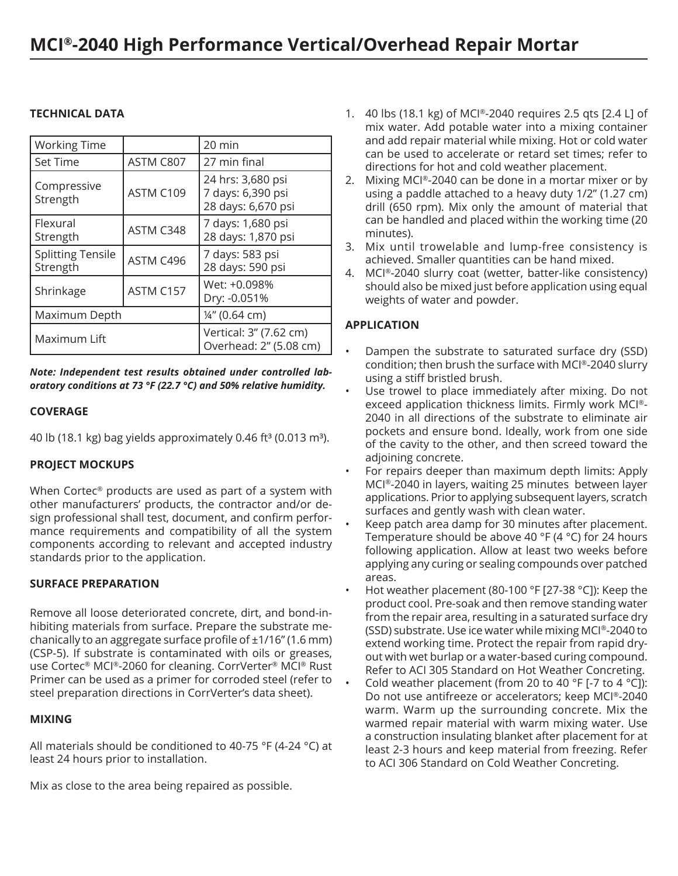# **TECHNICAL DATA**

| <b>Working Time</b>                  |           | $20 \text{ min}$                                             |
|--------------------------------------|-----------|--------------------------------------------------------------|
| <b>Set Time</b>                      | ASTM C807 | 27 min final                                                 |
| Compressive<br>Strength              | ASTM C109 | 24 hrs: 3,680 psi<br>7 days: 6,390 psi<br>28 days: 6,670 psi |
| Flexural<br>Strength                 | ASTM C348 | 7 days: 1,680 psi<br>28 days: 1,870 psi                      |
| <b>Splitting Tensile</b><br>Strength | ASTM C496 | 7 days: 583 psi<br>28 days: 590 psi                          |
| Shrinkage                            | ASTM C157 | Wet: +0.098%<br>Dry: -0.051%                                 |
| Maximum Depth                        |           | 14" (0.64 cm)                                                |
| Maximum Lift                         |           | Vertical: 3" (7.62 cm)<br>Overhead: 2" (5.08 cm)             |

*Note: Independent test results obtained under controlled laboratory conditions at 73 °F (22.7 °C) and 50% relative humidity.*

#### **COVERAGE**

40 lb (18.1 kg) bag yields approximately 0.46 ft $3$  (0.013 m<sup>3</sup>).

# **PROJECT MOCKUPS**

When Cortec® products are used as part of a system with other manufacturers' products, the contractor and/or design professional shall test, document, and confirm performance requirements and compatibility of all the system components according to relevant and accepted industry standards prior to the application.

# **SURFACE PREPARATION**

Remove all loose deteriorated concrete, dirt, and bond-inhibiting materials from surface. Prepare the substrate mechanically to an aggregate surface profile of ±1/16" (1.6 mm) (CSP-5). If substrate is contaminated with oils or greases, use Cortec® MCI®-2060 for cleaning. CorrVerter® MCI® Rust Primer can be used as a primer for corroded steel (refer to steel preparation directions in CorrVerter's data sheet).

#### **MIXING**

All materials should be conditioned to 40-75 °F (4-24 °C) at least 24 hours prior to installation.

Mix as close to the area being repaired as possible.

- 1. 40 lbs (18.1 kg) of MCI®-2040 requires 2.5 qts [2.4 L] of mix water. Add potable water into a mixing container and add repair material while mixing. Hot or cold water can be used to accelerate or retard set times; refer to directions for hot and cold weather placement.
- 2. Mixing MCI®-2040 can be done in a mortar mixer or by using a paddle attached to a heavy duty 1/2" (1.27 cm) drill (650 rpm). Mix only the amount of material that can be handled and placed within the working time (20 minutes).
- 3. Mix until trowelable and lump-free consistency is achieved. Smaller quantities can be hand mixed.
- 4. MCI®-2040 slurry coat (wetter, batter-like consistency) should also be mixed just before application using equal weights of water and powder.

# **APPLICATION**

- Dampen the substrate to saturated surface dry (SSD) condition; then brush the surface with MCI®-2040 slurry using a stiff bristled brush.
- Use trowel to place immediately after mixing. Do not exceed application thickness limits. Firmly work MCI®- 2040 in all directions of the substrate to eliminate air pockets and ensure bond. Ideally, work from one side of the cavity to the other, and then screed toward the adjoining concrete.
- For repairs deeper than maximum depth limits: Apply MCI®-2040 in layers, waiting 25 minutes between layer applications. Prior to applying subsequent layers, scratch surfaces and gently wash with clean water.
- Keep patch area damp for 30 minutes after placement. Temperature should be above 40 °F (4 °C) for 24 hours following application. Allow at least two weeks before applying any curing or sealing compounds over patched areas.
- Hot weather placement (80-100 °F [27-38 °C]): Keep the product cool. Pre-soak and then remove standing water from the repair area, resulting in a saturated surface dry (SSD) substrate. Use ice water while mixing MCI®-2040 to extend working time. Protect the repair from rapid dryout with wet burlap or a water-based curing compound. Refer to ACI 305 Standard on Hot Weather Concreting.
	- Cold weather placement (from 20 to 40 °F [-7 to 4 °C]): Do not use antifreeze or accelerators; keep MCI®-2040 warm. Warm up the surrounding concrete. Mix the warmed repair material with warm mixing water. Use a construction insulating blanket after placement for at least 2-3 hours and keep material from freezing. Refer to ACI 306 Standard on Cold Weather Concreting.